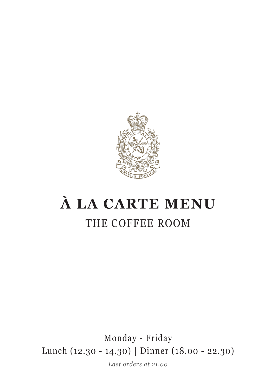

# **À LA CARTE MENU** THE COFFEE ROOM

Monday - Friday Lunch (12.30 - 14.30) | Dinner (18.00 - 22.30)

*Last orders at 21.00*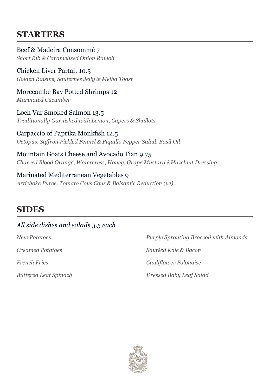#### **STARTERS**

*Short Rib & Caramelized Onion Ravioli* Beef & Madeira Consommé 7

*Golden Raisins, Sauternes Jelly & Melba Toast* Chicken Liver Parfait 10.5

*Marinated Cucumber* Morecambe Bay Potted Shrimps 12

*Traditionally Garnished with Lemon, Capers & Shallots* Loch Var Smoked Salmon 13.5

*Octopus, Saffron Pickled Fennel & Piquillo Pepper Salad, Basil Oil* Carpaccio of Paprika Monkfish 12.5

*Charred Blood Orange, Watercress, Honey, Grape Mustard &Hazelnut Dressing* Mountain Goats Cheese and Avocado Tian 9.75

*Artichoke Puree, Tomato Cous Cous & Balsamic Reduction (ve)* Marinated Mediterranean Vegetables 9

## **SIDES**

#### *All side dishes and salads 3.5 each*

*New Potatoes Creamed Potatoes French Fries*

*Buttered Leaf Spinach*

*Purple Sprouting Broccoli with Almonds Sautéed Kale & Bacon Cauliflower Polonaise Dressed Baby Leaf Salad*

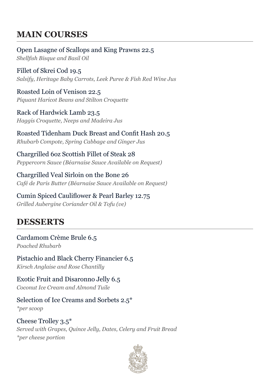### **MAIN COURSES**

*Shellfish Bisque and Basil Oil* Open Lasagne of Scallops and King Prawns 22.5

*Salsify, Heritage Baby Carrots, Leek Puree & Fish Red Wine Jus* Fillet of Skrei Cod 19.5

*Piquant Haricot Beans and Stilton Croquette* Roasted Loin of Venison 22.5

*Haggis Croquette, Neeps and Madeira Jus* Rack of Hardwick Lamb 23.5

*Rhubarb Compote, Spring Cabbage and Ginger Jus* Roasted Tidenham Duck Breast and Confit Hash 20.5

*Peppercorn Sauce (Béarnaise Sauce Available on Request)* Chargrilled 6oz Scottish Fillet of Steak 28

*Café de Paris Butter (Béarnaise Sauce Available on Request)* Chargrilled Veal Sirloin on the Bone 26

*Grilled Aubergine Coriander Oil & Tofu (ve)* Cumin Spiced Cauliflower & Pearl Barley 12.75

### **DESSERTS**

*Poached Rhubarb* Cardamom Crème Brule 6.5

*Kirsch Anglaise and Rose Chantilly* Pistachio and Black Cherry Financier 6.5

*Coconut Ice Cream and Almond Tuile* Exotic Fruit and Disaronno Jelly 6.5

*\*per scoop* Selection of Ice Creams and Sorbets 2.5\*

*Served with Grapes, Quince Jelly, Dates, Celery and Fruit Bread \*per cheese portion* Cheese Trolley 3.5\*